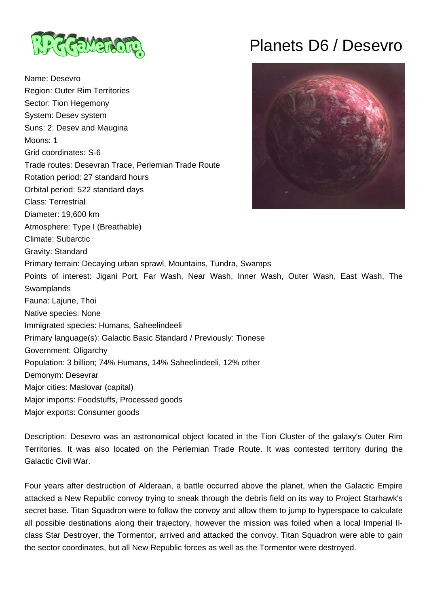

Name: Desevro Region: Outer Rim Territories Sector: Tion Hegemony System: Desev system Suns: 2: Desev and Maugina Moons: 1 Grid coordinates: S-6 Trade routes: Desevran Trace, Perlemian Trade Route Rotation period: 27 standard hours Orbital period: 522 standard days Class: Terrestrial Diameter: 19,600 km Atmosphere: Type I (Breathable) Climate: Subarctic Gravity: Standard Primary terrain: Decaying urban sprawl, Mountains, Tundra, Swamps Points of interest: Jigani Port, Far Wash, Near Wash, Inner Wash, Outer Wash, East Wash, The **Swamplands** Fauna: Lajune, Thoi Native species: None Immigrated species: Humans, Saheelindeeli Primary language(s): Galactic Basic Standard / Previously: Tionese Government: Oligarchy Population: 3 billion; 74% Humans, 14% Saheelindeeli, 12% other Demonym: Desevrar Major cities: Maslovar (capital) Major imports: Foodstuffs, Processed goods Major exports: Consumer goods

Planets D6 / Desevro



Territories. It was also located on the Perlemian Trade Route. It was contested territory during the Galactic Civil War. Four years after destruction of Alderaan, a battle occurred above the planet, when the Galactic Empire

Description: Desevro was an astronomical object located in the Tion Cluster of the galaxy's Outer Rim

attacked a New Republic convoy trying to sneak through the debris field on its way to Project Starhawk's secret base. Titan Squadron were to follow the convoy and allow them to jump to hyperspace to calculate all possible destinations along their trajectory, however the mission was foiled when a local Imperial IIclass Star Destroyer, the Tormentor, arrived and attacked the convoy. Titan Squadron were able to gain the sector coordinates, but all New Republic forces as well as the Tormentor were destroyed.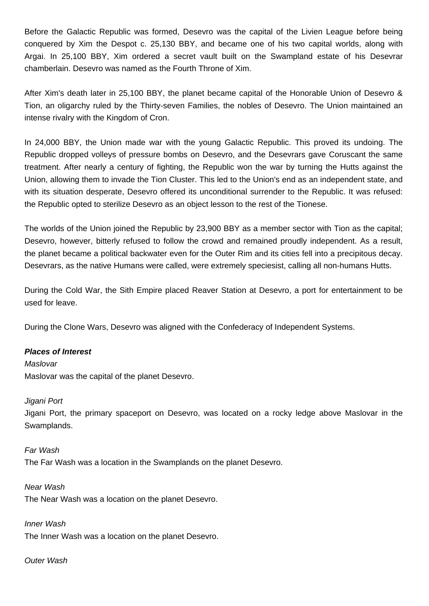Before the Galactic Republic was formed, Desevro was the capital of the Livien League before being conquered by Xim the Despot c. 25,130 BBY, and became one of his two capital worlds, along with Argai. In 25,100 BBY, Xim ordered a secret vault built on the Swampland estate of his Desevrar chamberlain. Desevro was named as the Fourth Throne of Xim.

After Xim's death later in 25,100 BBY, the planet became capital of the Honorable Union of Desevro & Tion, an oligarchy ruled by the Thirty-seven Families, the nobles of Desevro. The Union maintained an intense rivalry with the Kingdom of Cron.

In 24,000 BBY, the Union made war with the young Galactic Republic. This proved its undoing. The Republic dropped volleys of pressure bombs on Desevro, and the Desevrars gave Coruscant the same treatment. After nearly a century of fighting, the Republic won the war by turning the Hutts against the Union, allowing them to invade the Tion Cluster. This led to the Union's end as an independent state, and with its situation desperate, Desevro offered its unconditional surrender to the Republic. It was refused: the Republic opted to sterilize Desevro as an object lesson to the rest of the Tionese.

The worlds of the Union joined the Republic by 23,900 BBY as a member sector with Tion as the capital; Desevro, however, bitterly refused to follow the crowd and remained proudly independent. As a result, the planet became a political backwater even for the Outer Rim and its cities fell into a precipitous decay. Desevrars, as the native Humans were called, were extremely speciesist, calling all non-humans Hutts.

During the Cold War, the Sith Empire placed Reaver Station at Desevro, a port for entertainment to be used for leave.

During the Clone Wars, Desevro was aligned with the Confederacy of Independent Systems.

### **Places of Interest**

**Maslovar** Maslovar was the capital of the planet Desevro.

### Jigani Port

Jigani Port, the primary spaceport on Desevro, was located on a rocky ledge above Maslovar in the Swamplands.

### Far Wash

The Far Wash was a location in the Swamplands on the planet Desevro.

Near Wash The Near Wash was a location on the planet Desevro.

Inner Wash The Inner Wash was a location on the planet Desevro.

### Outer Wash